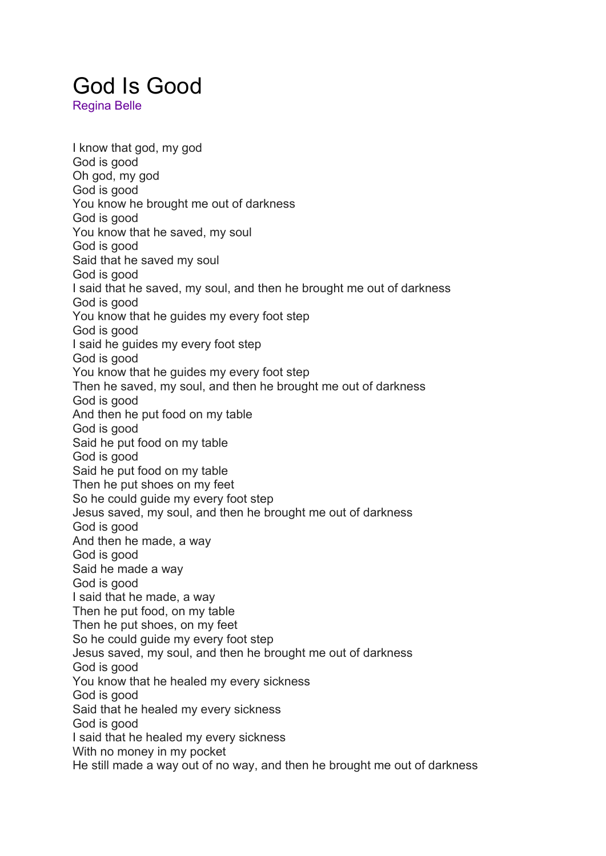## God Is Good

Regina Belle

I know that god, my god God is good Oh god, my god God is good You know he brought me out of darkness God is good You know that he saved, my soul God is good Said that he saved my soul God is good I said that he saved, my soul, and then he brought me out of darkness God is good You know that he guides my every foot step God is good I said he guides my every foot step God is good You know that he guides my every foot step Then he saved, my soul, and then he brought me out of darkness God is good And then he put food on my table God is good Said he put food on my table God is good Said he put food on my table Then he put shoes on my feet So he could guide my every foot step Jesus saved, my soul, and then he brought me out of darkness God is good And then he made, a way God is good Said he made a way God is good I said that he made, a way Then he put food, on my table Then he put shoes, on my feet So he could guide my every foot step Jesus saved, my soul, and then he brought me out of darkness God is good You know that he healed my every sickness God is good Said that he healed my every sickness God is good I said that he healed my every sickness With no money in my pocket He still made a way out of no way, and then he brought me out of darkness